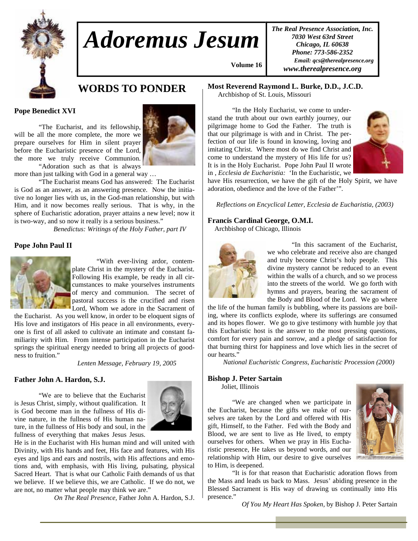

# *Adoremus Jesum*

*The Real Presence Association, Inc. 7030 West 63rd Street Chicago, IL 60638 Phone: 773-586-2352 Email: qcs@therealpresence.org www.therealpresence.org* 

# **WORDS TO PONDER**

#### **Pope Benedict XVI**

 "The Eucharist, and its fellowship, will be all the more complete, the more we prepare ourselves for Him in silent prayer before the Eucharistic presence of the Lord, the more we truly receive Communion. "Adoration such as that is always



more than just talking with God in a general way …

 "The Eucharist means God has answered: The Eucharist is God as an answer, as an answering presence. Now the initiative no longer lies with us, in the God-man relationship, but with Him, and it now becomes really serious. That is why, in the sphere of Eucharistic adoration, prayer attains a new level; now it is two-way, and so now it really is a serious business."

*Benedictus: Writings of the Holy Father, part IV* 

#### **Pope John Paul II**



 "With ever-living ardor, contemplate Christ in the mystery of the Eucharist. Following His example, be ready in all circumstances to make yourselves instruments of mercy and communion. The secret of pastoral success is the crucified and risen Lord, Whom we adore in the Sacrament of

the Eucharist. As you well know, in order to be eloquent signs of His love and instigators of His peace in all environments, everyone is first of all asked to cultivate an intimate and constant familiarity with Him. From intense participation in the Eucharist springs the spiritual energy needed to bring all projects of goodness to fruition."

*Lenten Message, February 19, 2005*

#### **Father John A. Hardon, S.J.**

 "We are to believe that the Eucharist is Jesus Christ, simply, without qualification. It is God become man in the fullness of His divine nature, in the fullness of His human nature, in the fullness of His body and soul, in the fullness of everything that makes Jesus Jesus.



He is in the Eucharist with His human mind and will united with Divinity, with His hands and feet, His face and features, with His eyes and lips and ears and nostrils, with His affections and emotions and, with emphasis, with His living, pulsating, physical Sacred Heart. That is what our Catholic Faith demands of us that we believe. If we believe this, we are Catholic. If we do not, we are not, no matter what people may think we are."

*On The Real Presence,* Father John A. Hardon, S.J.

**Most Reverend Raymond L. Burke, D.D., J.C.D.**

Archbishop of St. Louis, Missouri

 **Volume 16,**

 "In the Holy Eucharist, we come to understand the truth about our own earthly journey, our pilgrimage home to God the Father. The truth is that our pilgrimage is with and in Christ. The perfection of our life is found in knowing, loving and imitating Christ. Where most do we find Christ and come to understand the mystery of His life for us? It is in the Holy Eucharist. Pope John Paul II wrote in , *Ecclesia de Eucharistia:* 'In the Eucharistic, we



have His resurrection, we have the gift of the Holy Spirit, we have adoration, obedience and the love of the Father'".

*Reflections on Encyclical Letter, Ecclesia de Eucharistia, (2003)* 

#### **Francis Cardinal George, O.M.I.**

Archbishop of Chicago, Illinois



 "In this sacrament of the Eucharist, we who celebrate and receive also are changed and truly become Christ's holy people. This divine mystery cannot be reduced to an event within the walls of a church, and so we process into the streets of the world. We go forth with hymns and prayers, bearing the sacrament of the Body and Blood of the Lord. We go where

the life of the human family is bubbling, where its passions are boiling, where its conflicts explode, where its sufferings are consumed and its hopes flower. We go to give testimony with humble joy that this Eucharistic host is the answer to the most pressing questions, comfort for every pain and sorrow, and a pledge of satisfaction for that burning thirst for happiness and love which lies in the secret of our hearts."

*National Eucharistic Congress, Eucharistic Procession (2000)* 

#### **Bishop J. Peter Sartain**

Joliet, Illinois

 "We are changed when we participate in the Eucharist, because the gifts we make of ourselves are taken by the Lord and offered with His gift, Himself, to the Father. Fed with the Body and Blood, we are sent to live as He lived, to empty ourselves for others. When we pray in His Eucharistic presence, He takes us beyond words, and our relationship with Him, our desire to give ourselves to Him, is deepened.



 "It is for that reason that Eucharistic adoration flows from the Mass and leads us back to Mass. Jesus' abiding presence in the Blessed Sacrament is His way of drawing us continually into His presence."

*Of You My Heart Has Spoken,* by Bishop J. Peter Sartain